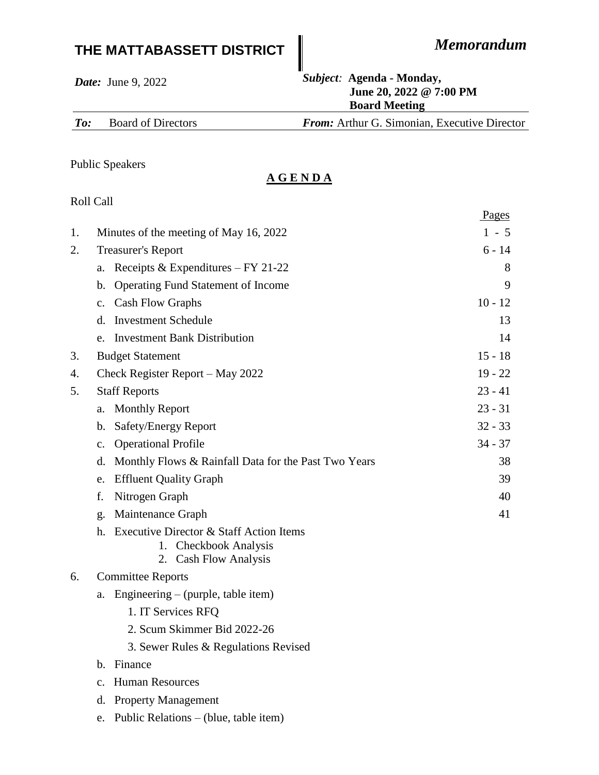## **THE MATTABASSETT DISTRICT** *Memorandum*

Pages

*Date:* June 9, 2022 *Subject:* **Agenda - Monday, June 20, 2022 @ 7:00 PM Board Meeting**

*To:* Board of Directors *From:* Arthur G. Simonian, Executive Director

Public Speakers

## **A G E N D A**

## Roll Call

| 1. | Minutes of the meeting of May 16, 2022                                                                     | $1 - 5$   |
|----|------------------------------------------------------------------------------------------------------------|-----------|
| 2. | <b>Treasurer's Report</b>                                                                                  | $6 - 14$  |
|    | Receipts & Expenditures $-FY 21-22$<br>a.                                                                  | 8         |
|    | <b>Operating Fund Statement of Income</b><br>b.                                                            | 9         |
|    | <b>Cash Flow Graphs</b><br>$\mathbf{c}$ .                                                                  | $10 - 12$ |
|    | d. Investment Schedule                                                                                     | 13        |
|    | e. Investment Bank Distribution                                                                            | 14        |
| 3. | <b>Budget Statement</b>                                                                                    | $15 - 18$ |
| 4. | Check Register Report - May 2022                                                                           | $19 - 22$ |
| 5. | <b>Staff Reports</b>                                                                                       | $23 - 41$ |
|    | <b>Monthly Report</b><br>a.                                                                                | $23 - 31$ |
|    | Safety/Energy Report<br>b.                                                                                 | $32 - 33$ |
|    | <b>Operational Profile</b><br>$\mathbf{c}$ .                                                               | $34 - 37$ |
|    | Monthly Flows & Rainfall Data for the Past Two Years<br>d.                                                 | 38        |
|    | <b>Effluent Quality Graph</b><br>e.                                                                        | 39        |
|    | Nitrogen Graph<br>f.                                                                                       | 40        |
|    | Maintenance Graph<br>g.                                                                                    | 41        |
|    | <b>Executive Director &amp; Staff Action Items</b><br>h.<br>1. Checkbook Analysis<br>2. Cash Flow Analysis |           |
| 6. | <b>Committee Reports</b>                                                                                   |           |
|    | Engineering – (purple, table item)<br>a.                                                                   |           |
|    | 1. IT Services RFQ                                                                                         |           |
|    | 2. Scum Skimmer Bid 2022-26                                                                                |           |
|    | 3. Sewer Rules & Regulations Revised                                                                       |           |
|    | b. Finance                                                                                                 |           |
|    | <b>Human Resources</b><br>$\mathbf{c}$ .                                                                   |           |
|    | d. Property Management                                                                                     |           |
|    | Public Relations – (blue, table item)<br>e.                                                                |           |